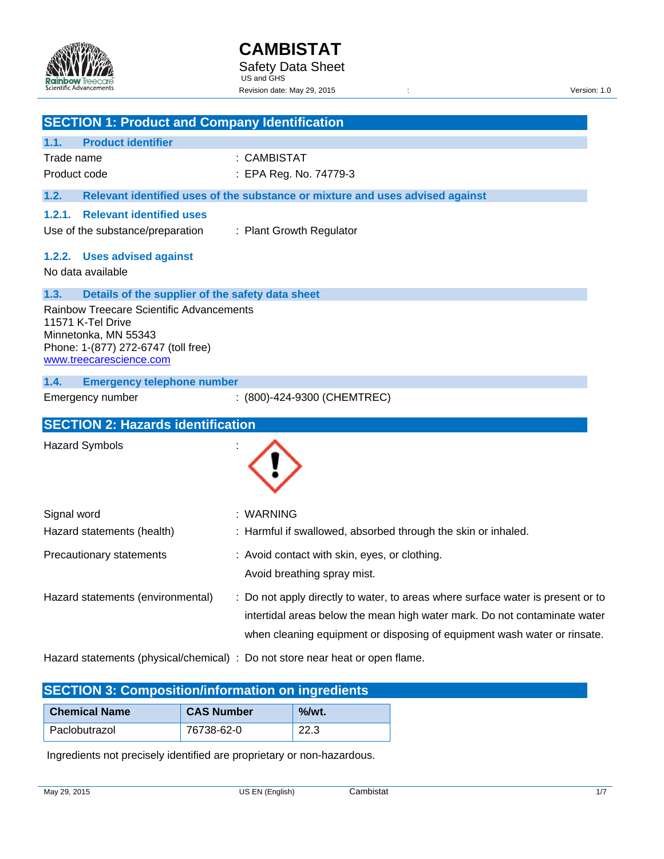

|                                                                                                                                                         | <b>SECTION 1: Product and Company Identification</b>                                                                                                                                                                                     |
|---------------------------------------------------------------------------------------------------------------------------------------------------------|------------------------------------------------------------------------------------------------------------------------------------------------------------------------------------------------------------------------------------------|
| <b>Product identifier</b><br>1.1.                                                                                                                       |                                                                                                                                                                                                                                          |
| Trade name                                                                                                                                              | : CAMBISTAT                                                                                                                                                                                                                              |
| Product code                                                                                                                                            | : EPA Reg. No. 74779-3                                                                                                                                                                                                                   |
| 1.2.                                                                                                                                                    | Relevant identified uses of the substance or mixture and uses advised against                                                                                                                                                            |
| <b>Relevant identified uses</b><br>1.2.1.<br>Use of the substance/preparation                                                                           | : Plant Growth Regulator                                                                                                                                                                                                                 |
| 1.2.2. Uses advised against<br>No data available                                                                                                        |                                                                                                                                                                                                                                          |
| 1.3.<br>Details of the supplier of the safety data sheet                                                                                                |                                                                                                                                                                                                                                          |
| Rainbow Treecare Scientific Advancements<br>11571 K-Tel Drive<br>Minnetonka, MN 55343<br>Phone: 1-(877) 272-6747 (toll free)<br>www.treecarescience.com |                                                                                                                                                                                                                                          |
| 1.4.<br><b>Emergency telephone number</b>                                                                                                               |                                                                                                                                                                                                                                          |
| Emergency number                                                                                                                                        | : (800)-424-9300 (CHEMTREC)                                                                                                                                                                                                              |
| <b>SECTION 2: Hazards identification</b>                                                                                                                |                                                                                                                                                                                                                                          |
| <b>Hazard Symbols</b>                                                                                                                                   |                                                                                                                                                                                                                                          |
|                                                                                                                                                         |                                                                                                                                                                                                                                          |
|                                                                                                                                                         |                                                                                                                                                                                                                                          |
| Signal word<br>Hazard statements (health)                                                                                                               | : WARNING<br>: Harmful if swallowed, absorbed through the skin or inhaled.                                                                                                                                                               |
| Precautionary statements                                                                                                                                | : Avoid contact with skin, eyes, or clothing.<br>Avoid breathing spray mist.                                                                                                                                                             |
|                                                                                                                                                         | : Do not apply directly to water, to areas where surface water is present or to<br>intertidal areas below the mean high water mark. Do not contaminate water<br>when cleaning equipment or disposing of equipment wash water or rinsate. |
| Hazard statements (environmental)                                                                                                                       | Hazard statements (physical/chemical) : Do not store near heat or open flame.                                                                                                                                                            |

| <u>shot that the sample summands in the construction of the second second second second second second second second second second second second second second second second second second second second second second second sec</u> |                   |          |
|--------------------------------------------------------------------------------------------------------------------------------------------------------------------------------------------------------------------------------------|-------------------|----------|
| <b>Chemical Name</b>                                                                                                                                                                                                                 | <b>CAS Number</b> | $%$ /wt. |
| Paclobutrazol                                                                                                                                                                                                                        | 76738-62-0        | 22.3     |

Ingredients not precisely identified are proprietary or non-hazardous.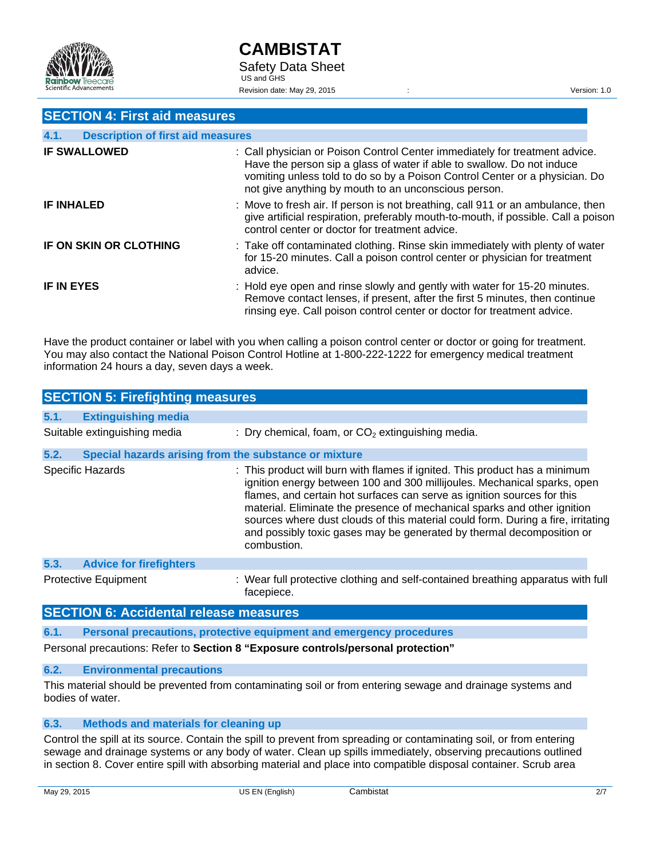

### **SECTION 4: First aid measures**

| 4.1.<br><b>Description of first aid measures</b> |                                                                                                                                                                                                                                                                                              |
|--------------------------------------------------|----------------------------------------------------------------------------------------------------------------------------------------------------------------------------------------------------------------------------------------------------------------------------------------------|
| <b>IF SWALLOWED</b>                              | : Call physician or Poison Control Center immediately for treatment advice.<br>Have the person sip a glass of water if able to swallow. Do not induce<br>vomiting unless told to do so by a Poison Control Center or a physician. Do<br>not give anything by mouth to an unconscious person. |
| <b>IF INHALED</b>                                | : Move to fresh air. If person is not breathing, call 911 or an ambulance, then<br>give artificial respiration, preferably mouth-to-mouth, if possible. Call a poison<br>control center or doctor for treatment advice.                                                                      |
| IF ON SKIN OR CLOTHING                           | : Take off contaminated clothing. Rinse skin immediately with plenty of water<br>for 15-20 minutes. Call a poison control center or physician for treatment<br>advice.                                                                                                                       |
| <b>IF IN EYES</b>                                | : Hold eye open and rinse slowly and gently with water for 15-20 minutes.<br>Remove contact lenses, if present, after the first 5 minutes, then continue<br>rinsing eye. Call poison control center or doctor for treatment advice.                                                          |

Have the product container or label with you when calling a poison control center or doctor or going for treatment. You may also contact the National Poison Control Hotline at 1-800-222-1222 for emergency medical treatment information 24 hours a day, seven days a week.

|      | <b>SECTION 5: Firefighting measures</b>               |                                                                                                                                                                                                                                                                                                                                                                                                                                                                                            |
|------|-------------------------------------------------------|--------------------------------------------------------------------------------------------------------------------------------------------------------------------------------------------------------------------------------------------------------------------------------------------------------------------------------------------------------------------------------------------------------------------------------------------------------------------------------------------|
| 5.1. | <b>Extinguishing media</b>                            |                                                                                                                                                                                                                                                                                                                                                                                                                                                                                            |
|      | Suitable extinguishing media                          | : Dry chemical, foam, or $CO2$ extinguishing media.                                                                                                                                                                                                                                                                                                                                                                                                                                        |
| 5.2. | Special hazards arising from the substance or mixture |                                                                                                                                                                                                                                                                                                                                                                                                                                                                                            |
|      | Specific Hazards                                      | : This product will burn with flames if ignited. This product has a minimum<br>ignition energy between 100 and 300 millijoules. Mechanical sparks, open<br>flames, and certain hot surfaces can serve as ignition sources for this<br>material. Eliminate the presence of mechanical sparks and other ignition<br>sources where dust clouds of this material could form. During a fire, irritating<br>and possibly toxic gases may be generated by thermal decomposition or<br>combustion. |
| 5.3. | <b>Advice for firefighters</b>                        |                                                                                                                                                                                                                                                                                                                                                                                                                                                                                            |
|      | <b>Protective Equipment</b>                           | : Wear full protective clothing and self-contained breathing apparatus with full<br>facepiece.                                                                                                                                                                                                                                                                                                                                                                                             |

## **SECTION 6: Accidental release measures**

**6.1. Personal precautions, protective equipment and emergency procedures** 

Personal precautions: Refer to **Section 8 "Exposure controls/personal protection"**

#### **6.2. Environmental precautions**

This material should be prevented from contaminating soil or from entering sewage and drainage systems and bodies of water.

#### **6.3. Methods and materials for cleaning up**

Control the spill at its source. Contain the spill to prevent from spreading or contaminating soil, or from entering sewage and drainage systems or any body of water. Clean up spills immediately, observing precautions outlined in section 8. Cover entire spill with absorbing material and place into compatible disposal container. Scrub area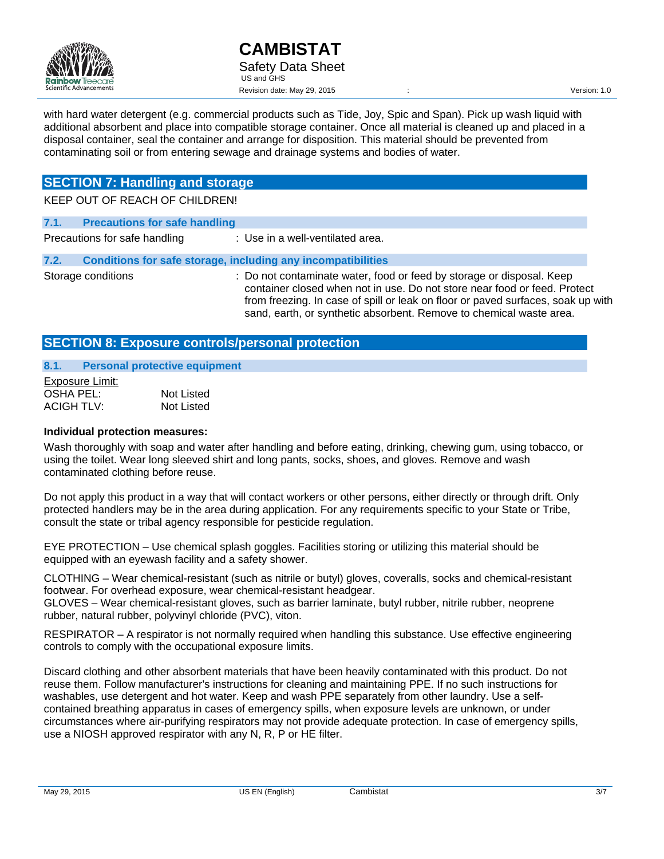

with hard water detergent (e.g. commercial products such as Tide, Joy, Spic and Span). Pick up wash liquid with additional absorbent and place into compatible storage container. Once all material is cleaned up and placed in a disposal container, seal the container and arrange for disposition. This material should be prevented from contaminating soil or from entering sewage and drainage systems and bodies of water.

# **SECTION 7: Handling and storage**

KEEP OUT OF REACH OF CHILDREN!

| 7.1. | <b>Precautions for safe handling</b> |                                                                                                                                                                                                                                                                                                               |
|------|--------------------------------------|---------------------------------------------------------------------------------------------------------------------------------------------------------------------------------------------------------------------------------------------------------------------------------------------------------------|
|      | Precautions for safe handling        | : Use in a well-ventilated area.                                                                                                                                                                                                                                                                              |
| 7.2. |                                      | Conditions for safe storage, including any incompatibilities                                                                                                                                                                                                                                                  |
|      | Storage conditions                   | : Do not contaminate water, food or feed by storage or disposal. Keep<br>container closed when not in use. Do not store near food or feed. Protect<br>from freezing. In case of spill or leak on floor or paved surfaces, soak up with<br>sand, earth, or synthetic absorbent. Remove to chemical waste area. |

# **SECTION 8: Exposure controls/personal protection**

#### **8.1. Personal protective equipment**

| Exposure Limit: |            |
|-----------------|------------|
| OSHA PEL:       | Not Listed |
| ACIGH TLV:      | Not Listed |

### **Individual protection measures:**

Wash thoroughly with soap and water after handling and before eating, drinking, chewing gum, using tobacco, or using the toilet. Wear long sleeved shirt and long pants, socks, shoes, and gloves. Remove and wash contaminated clothing before reuse.

Do not apply this product in a way that will contact workers or other persons, either directly or through drift. Only protected handlers may be in the area during application. For any requirements specific to your State or Tribe, consult the state or tribal agency responsible for pesticide regulation.

EYE PROTECTION – Use chemical splash goggles. Facilities storing or utilizing this material should be equipped with an eyewash facility and a safety shower.

CLOTHING – Wear chemical-resistant (such as nitrile or butyl) gloves, coveralls, socks and chemical-resistant footwear. For overhead exposure, wear chemical-resistant headgear.

GLOVES – Wear chemical-resistant gloves, such as barrier laminate, butyl rubber, nitrile rubber, neoprene rubber, natural rubber, polyvinyl chloride (PVC), viton.

RESPIRATOR – A respirator is not normally required when handling this substance. Use effective engineering controls to comply with the occupational exposure limits.

Discard clothing and other absorbent materials that have been heavily contaminated with this product. Do not reuse them. Follow manufacturer's instructions for cleaning and maintaining PPE. If no such instructions for washables, use detergent and hot water. Keep and wash PPE separately from other laundry. Use a selfcontained breathing apparatus in cases of emergency spills, when exposure levels are unknown, or under circumstances where air-purifying respirators may not provide adequate protection. In case of emergency spills, use a NIOSH approved respirator with any N, R, P or HE filter.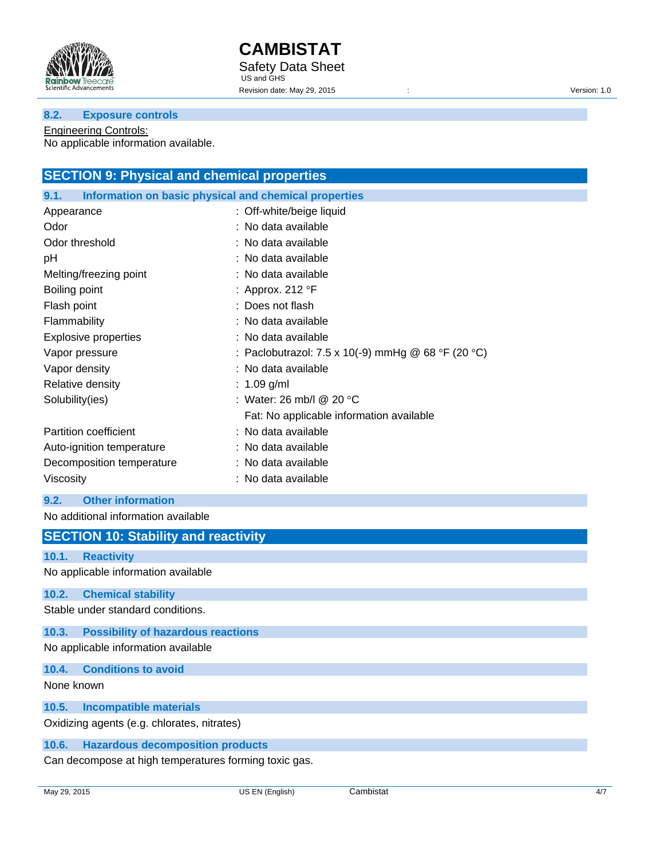

#### **8.2. Exposure controls**

Engineering Controls: No applicable information available.

| <b>SECTION 9: Physical and chemical properties</b>            |                                                    |  |
|---------------------------------------------------------------|----------------------------------------------------|--|
| Information on basic physical and chemical properties<br>9.1. |                                                    |  |
| Appearance                                                    | : Off-white/beige liquid                           |  |
| Odor                                                          | : No data available                                |  |
| Odor threshold                                                | : No data available                                |  |
| рH                                                            | : No data available                                |  |
| Melting/freezing point                                        | : No data available                                |  |
| Boiling point                                                 | : Approx. 212 $\degree$ F                          |  |
| Flash point                                                   | : Does not flash                                   |  |
| Flammability                                                  | : No data available                                |  |
| <b>Explosive properties</b>                                   | : No data available                                |  |
| Vapor pressure                                                | : Paclobutrazol: 7.5 x 10(-9) mmHg @ 68 °F (20 °C) |  |
| Vapor density                                                 | : No data available                                |  |
| Relative density                                              | : $1.09$ g/ml                                      |  |
| Solubility(ies)                                               | : Water: 26 mb/l @ 20 $\degree$ C                  |  |
|                                                               | Fat: No applicable information available           |  |
| Partition coefficient                                         | : No data available                                |  |
| Auto-ignition temperature                                     | : No data available                                |  |
| Decomposition temperature                                     | : No data available                                |  |
| Viscosity                                                     | : No data available                                |  |

### **9.2. Other information**

No additional information available

# **SECTION 10: Stability and reactivity**

### **10.1. Reactivity**

No applicable information available

#### **10.2. Chemical stability**

Stable under standard conditions.

### **10.3. Possibility of hazardous reactions**

No applicable information available

#### **10.4. Conditions to avoid**

None known

#### **10.5. Incompatible materials**

Oxidizing agents (e.g. chlorates, nitrates)

### **10.6. Hazardous decomposition products**

Can decompose at high temperatures forming toxic gas.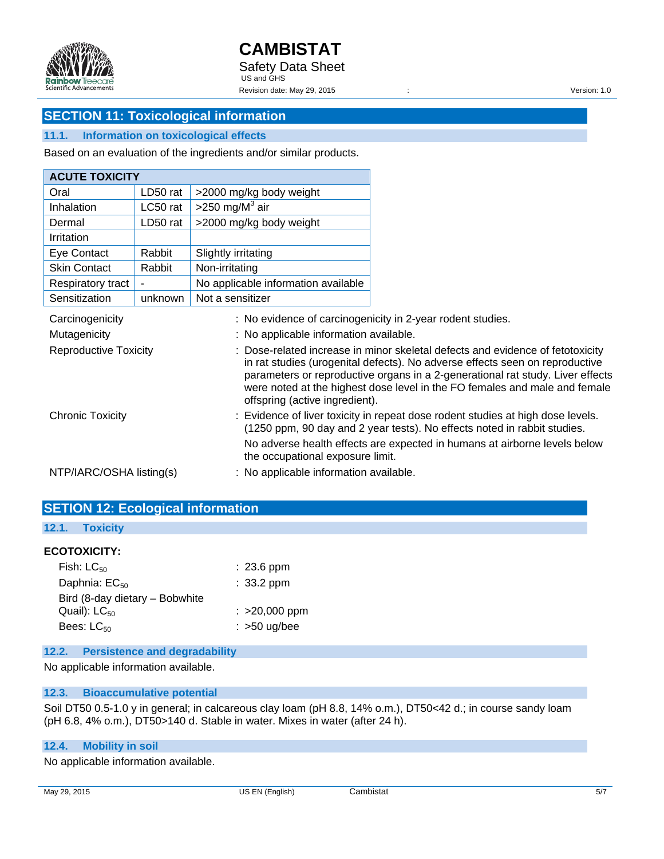

# **SECTION 11: Toxicological information**

### **11.1. Information on toxicological effects**

Based on an evaluation of the ingredients and/or similar products.

| Oral<br>LD50 rat<br>>2000 mg/kg body weight<br>>250 mg/M $3$ air<br>Inhalation<br>LC50 rat<br>LD50 rat<br>>2000 mg/kg body weight<br>Dermal |
|---------------------------------------------------------------------------------------------------------------------------------------------|
|                                                                                                                                             |
|                                                                                                                                             |
|                                                                                                                                             |
| Irritation                                                                                                                                  |
| Eye Contact<br>Rabbit<br>Slightly irritating                                                                                                |
| <b>Skin Contact</b><br>Non-irritating<br>Rabbit                                                                                             |
| No applicable information available<br>Respiratory tract                                                                                    |
| Not a sensitizer<br>Sensitization<br>unknown                                                                                                |

| Carcinogenicity              | : No evidence of carcinogenicity in 2-year rodent studies.                                                                                                                                                                                                                                                                                                       |
|------------------------------|------------------------------------------------------------------------------------------------------------------------------------------------------------------------------------------------------------------------------------------------------------------------------------------------------------------------------------------------------------------|
| Mutagenicity                 | : No applicable information available.                                                                                                                                                                                                                                                                                                                           |
| <b>Reproductive Toxicity</b> | : Dose-related increase in minor skeletal defects and evidence of fetotoxicity<br>in rat studies (urogenital defects). No adverse effects seen on reproductive<br>parameters or reproductive organs in a 2-generational rat study. Liver effects<br>were noted at the highest dose level in the FO females and male and female<br>offspring (active ingredient). |
| <b>Chronic Toxicity</b>      | : Evidence of liver toxicity in repeat dose rodent studies at high dose levels.<br>(1250 ppm, 90 day and 2 year tests). No effects noted in rabbit studies.                                                                                                                                                                                                      |
|                              | No adverse health effects are expected in humans at airborne levels below<br>the occupational exposure limit.                                                                                                                                                                                                                                                    |
| NTP/IARC/OSHA listing(s)     | : No applicable information available.                                                                                                                                                                                                                                                                                                                           |

| NTP/IARC/OSHA IISting(S)                 | : No applicable information available. |
|------------------------------------------|----------------------------------------|
| <b>SETION 12: Ecological information</b> |                                        |
| 12.1. Toxicity                           |                                        |

## **ECOTOXICITY:**

| Fish: $LC_{50}$                | $: 23.6$ ppm    |
|--------------------------------|-----------------|
| Daphnia: $EC_{50}$             | $: 33.2$ ppm    |
| Bird (8-day dietary - Bobwhite |                 |
| Quail): $LC_{50}$              | $: >20,000$ ppm |
| Bees: $LC_{50}$                | $:$ >50 ug/bee  |

# **12.2. Persistence and degradability**

No applicable information available.

## **12.3. Bioaccumulative potential**

Soil DT50 0.5-1.0 y in general; in calcareous clay loam (pH 8.8, 14% o.m.), DT50<42 d.; in course sandy loam (pH 6.8, 4% o.m.), DT50>140 d. Stable in water. Mixes in water (after 24 h).

## **12.4. Mobility in soil**

No applicable information available.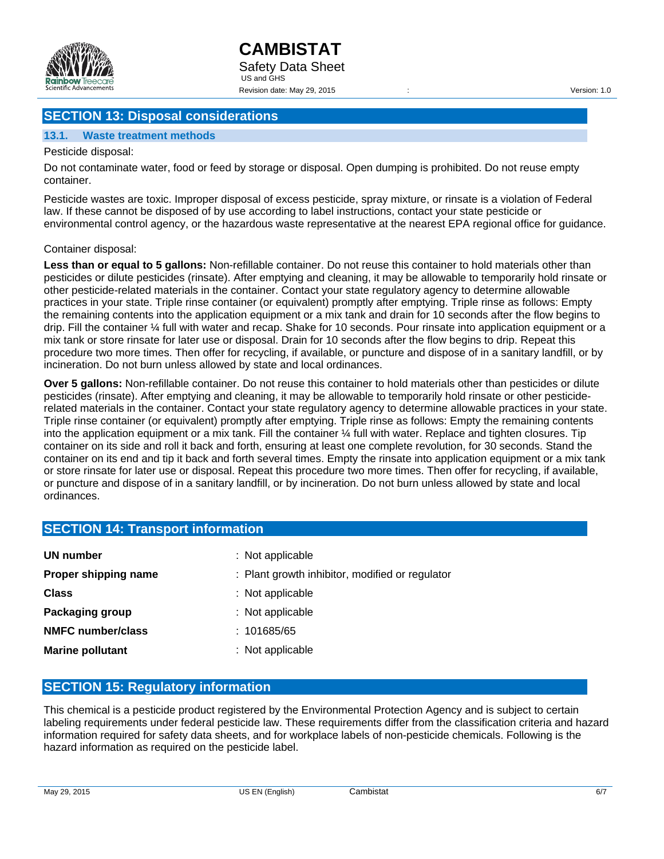

# **SECTION 13: Disposal considerations**

### **13.1. Waste treatment methods**

Pesticide disposal:

Do not contaminate water, food or feed by storage or disposal. Open dumping is prohibited. Do not reuse empty container.

Pesticide wastes are toxic. Improper disposal of excess pesticide, spray mixture, or rinsate is a violation of Federal law. If these cannot be disposed of by use according to label instructions, contact your state pesticide or environmental control agency, or the hazardous waste representative at the nearest EPA regional office for guidance.

#### Container disposal:

**Less than or equal to 5 gallons:** Non-refillable container. Do not reuse this container to hold materials other than pesticides or dilute pesticides (rinsate). After emptying and cleaning, it may be allowable to temporarily hold rinsate or other pesticide-related materials in the container. Contact your state regulatory agency to determine allowable practices in your state. Triple rinse container (or equivalent) promptly after emptying. Triple rinse as follows: Empty the remaining contents into the application equipment or a mix tank and drain for 10 seconds after the flow begins to drip. Fill the container ¼ full with water and recap. Shake for 10 seconds. Pour rinsate into application equipment or a mix tank or store rinsate for later use or disposal. Drain for 10 seconds after the flow begins to drip. Repeat this procedure two more times. Then offer for recycling, if available, or puncture and dispose of in a sanitary landfill, or by incineration. Do not burn unless allowed by state and local ordinances.

**Over 5 gallons:** Non-refillable container. Do not reuse this container to hold materials other than pesticides or dilute pesticides (rinsate). After emptying and cleaning, it may be allowable to temporarily hold rinsate or other pesticiderelated materials in the container. Contact your state regulatory agency to determine allowable practices in your state. Triple rinse container (or equivalent) promptly after emptying. Triple rinse as follows: Empty the remaining contents into the application equipment or a mix tank. Fill the container ¼ full with water. Replace and tighten closures. Tip container on its side and roll it back and forth, ensuring at least one complete revolution, for 30 seconds. Stand the container on its end and tip it back and forth several times. Empty the rinsate into application equipment or a mix tank or store rinsate for later use or disposal. Repeat this procedure two more times. Then offer for recycling, if available, or puncture and dispose of in a sanitary landfill, or by incineration. Do not burn unless allowed by state and local ordinances.

# **SECTION 14: Transport information**

| UN number                | $:$ Not applicable                              |
|--------------------------|-------------------------------------------------|
| Proper shipping name     | : Plant growth inhibitor, modified or regulator |
| <b>Class</b>             | : Not applicable                                |
| Packaging group          | $:$ Not applicable                              |
| <b>NMFC number/class</b> | : 101685/65                                     |
| <b>Marine pollutant</b>  | : Not applicable                                |

### **SECTION 15: Regulatory information**

This chemical is a pesticide product registered by the Environmental Protection Agency and is subject to certain labeling requirements under federal pesticide law. These requirements differ from the classification criteria and hazard information required for safety data sheets, and for workplace labels of non-pesticide chemicals. Following is the hazard information as required on the pesticide label.